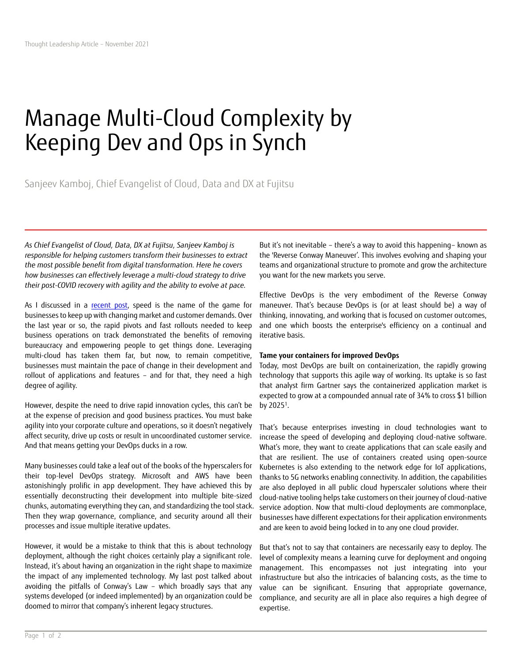# Manage Multi-Cloud Complexity by Keeping Dev and Ops in Synch

Sanjeev Kamboj, Chief Evangelist of Cloud, Data and DX at Fujitsu

*As Chief Evangelist of Cloud, Data, DX at Fujitsu, Sanjeev Kamboj is responsible for helping customers transform their businesses to extract the most possible benefit from digital transformation. Here he covers how businesses can effectively leverage a multi-cloud strategy to drive their post-COVID recovery with agility and the ability to evolve at pace.* 

As I discussed in a [recent post,](https://www.fujitsu.com/global/imagesgig5/Its_time_for_IT_Leaders_to_capitalize_on_Covid-momentum_consolidate_their_leadership_and_drive_their_cloud_strategies.pdf) speed is the name of the game for businesses to keep up with changing market and customer demands. Over the last year or so, the rapid pivots and fast rollouts needed to keep business operations on track demonstrated the benefits of removing bureaucracy and empowering people to get things done. Leveraging multi-cloud has taken them far, but now, to remain competitive, businesses must maintain the pace of change in their development and rollout of applications and features – and for that, they need a high degree of agility.

However, despite the need to drive rapid innovation cycles, this can't be at the expense of precision and good business practices. You must bake agility into your corporate culture and operations, so it doesn't negatively affect security, drive up costs or result in uncoordinated customer service. And that means getting your DevOps ducks in a row.

Many businesses could take a leaf out of the books of the hyperscalers for their top-level DevOps strategy. Microsoft and AWS have been astonishingly prolific in app development. They have achieved this by essentially deconstructing their development into multiple bite-sized chunks, automating everything they can, and standardizing the tool stack. Then they wrap governance, compliance, and security around all their processes and issue multiple iterative updates.

However, it would be a mistake to think that this is about technology deployment, although the right choices certainly play a significant role. Instead, it's about having an organization in the right shape to maximize the impact of any implemented technology. My last post talked about avoiding the pitfalls of Conway's Law – which broadly says that any systems developed (or indeed implemented) by an organization could be doomed to mirror that company's inherent legacy structures.

But it's not inevitable – there's a way to avoid this happening– known as the 'Reverse Conway Maneuver'. This involves evolving and shaping your teams and organizational structure to promote and grow the architecture you want for the new markets you serve.

Effective DevOps is the very embodiment of the Reverse Conway maneuver. That's because DevOps is (or at least should be) a way of thinking, innovating, and working that is focused on customer outcomes, and one which boosts the enterprise's efficiency on a continual and iterative basis.

### **Tame your containers for improved DevOps**

Today, most DevOps are built on containerization, the rapidly growing technology that supports this agile way of working. Its uptake is so fast that analyst firm Gartner says the containerized application market is expected to grow at a compounded annual rate of 34% to cross \$1 billion by 2025<sup>1</sup>.

That's because enterprises investing in cloud technologies want to increase the speed of developing and deploying cloud-native software. What's more, they want to create applications that can scale easily and that are resilient. The use of containers created using open-source Kubernetes is also extending to the network edge for IoT applications, thanks to 5G networks enabling connectivity. In addition, the capabilities are also deployed in all public cloud hyperscaler solutions where their cloud-native tooling helps take customers on their journey of cloud-native service adoption. Now that multi-cloud deployments are commonplace, businesses have different expectations for their application environments and are keen to avoid being locked in to any one cloud provider.

But that's not to say that containers are necessarily easy to deploy. The level of complexity means a learning curve for deployment and ongoing management. This encompasses not just integrating into your infrastructure but also the intricacies of balancing costs, as the time to value can be significant. Ensuring that appropriate governance, compliance, and security are all in place also requires a high degree of expertise.